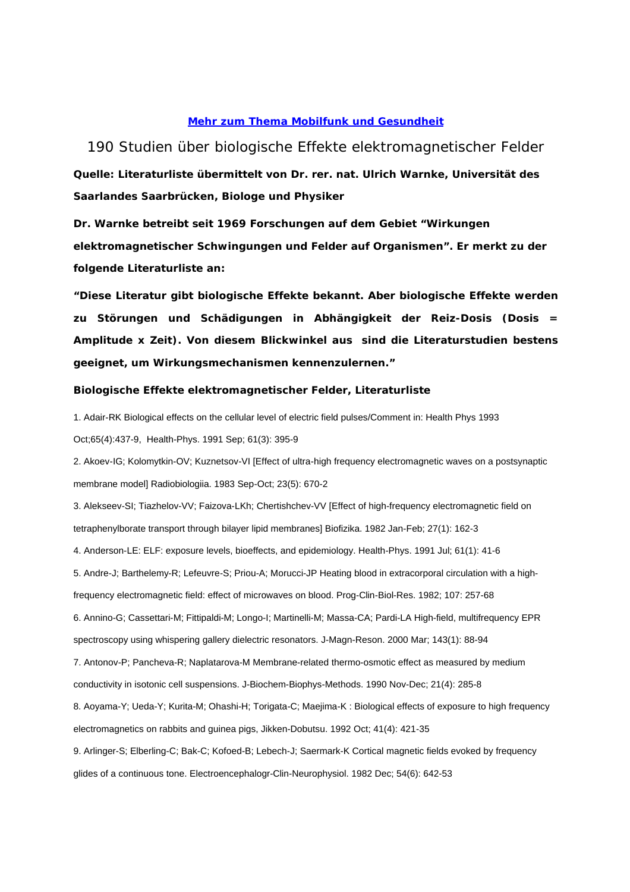## **Mehr zum Thema Mobilfunk und Gesundheit**

## 190 Studien über biologische Effekte elektromagnetischer Felder **Quelle: Literaturliste übermittelt von Dr. rer. nat. Ulrich Warnke, Universität des Saarlandes Saarbrücken, Biologe und Physiker**

**Dr. Warnke betreibt seit 1969 Forschungen auf dem Gebiet "Wirkungen elektromagnetischer Schwingungen und Felder auf Organismen". Er merkt zu der folgende Literaturliste an:**

**"Diese Literatur gibt biologische Effekte bekannt. Aber biologische Effekte werden zu Störungen und Schädigungen in Abhängigkeit der Reiz-Dosis (Dosis = Amplitude x Zeit). Von diesem Blickwinkel aus sind die Literaturstudien bestens geeignet, um Wirkungsmechanismen kennenzulernen."**

## **Biologische Effekte elektromagnetischer Felder, Literaturliste**

1. Adair-RK Biological effects on the cellular level of electric field pulses/Comment in: Health Phys 1993 Oct;65(4):437-9, Health-Phys. 1991 Sep; 61(3): 395-9

2. Akoev-IG; Kolomytkin-OV; Kuznetsov-VI [Effect of ultra-high frequency electromagnetic waves on a postsynaptic membrane model] Radiobiologiia. 1983 Sep-Oct; 23(5): 670-2

3. Alekseev-SI; Tiazhelov-VV; Faizova-LKh; Chertishchev-VV [Effect of high-frequency electromagnetic field on tetraphenylborate transport through bilayer lipid membranes] Biofizika. 1982 Jan-Feb; 27(1): 162-3

4. Anderson-LE: ELF: exposure levels, bioeffects, and epidemiology. Health-Phys. 1991 Jul; 61(1): 41-6

5. Andre-J; Barthelemy-R; Lefeuvre-S; Priou-A; Morucci-JP Heating blood in extracorporal circulation with a high-

frequency electromagnetic field: effect of microwaves on blood. Prog-Clin-Biol-Res. 1982; 107: 257-68

6. Annino-G; Cassettari-M; Fittipaldi-M; Longo-I; Martinelli-M; Massa-CA; Pardi-LA High-field, multifrequency EPR spectroscopy using whispering gallery dielectric resonators. J-Magn-Reson. 2000 Mar; 143(1): 88-94

7. Antonov-P; Pancheva-R; Naplatarova-M Membrane-related thermo-osmotic effect as measured by medium conductivity in isotonic cell suspensions. J-Biochem-Biophys-Methods. 1990 Nov-Dec; 21(4): 285-8

8. Aoyama-Y; Ueda-Y; Kurita-M; Ohashi-H; Torigata-C; Maejima-K : Biological effects of exposure to high frequency electromagnetics on rabbits and guinea pigs, Jikken-Dobutsu. 1992 Oct; 41(4): 421-35

9. Arlinger-S; Elberling-C; Bak-C; Kofoed-B; Lebech-J; Saermark-K Cortical magnetic fields evoked by frequency glides of a continuous tone. Electroencephalogr-Clin-Neurophysiol. 1982 Dec; 54(6): 642-53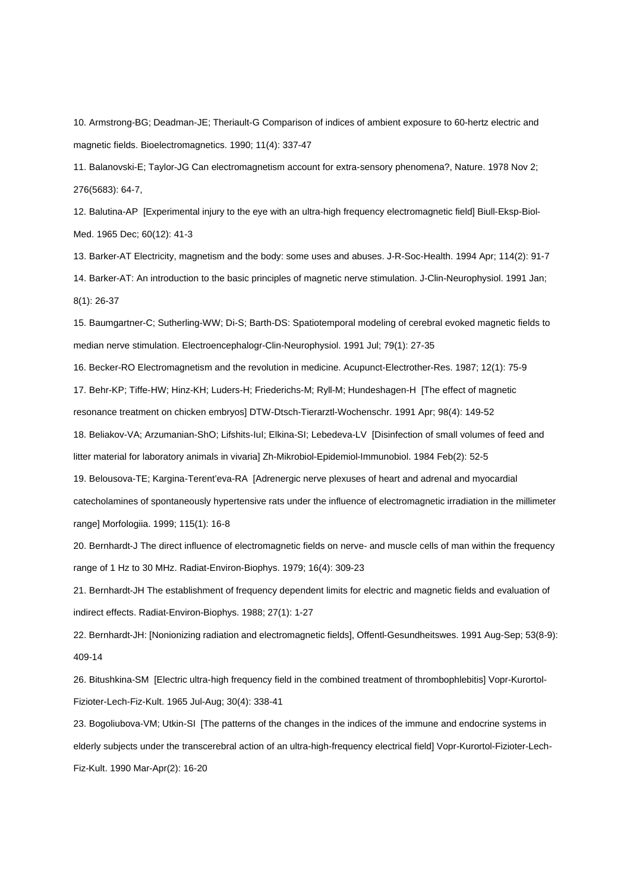10. Armstrong-BG; Deadman-JE; Theriault-G Comparison of indices of ambient exposure to 60-hertz electric and magnetic fields. Bioelectromagnetics. 1990; 11(4): 337-47

11. Balanovski-E; Taylor-JG Can electromagnetism account for extra-sensory phenomena?, Nature. 1978 Nov 2; 276(5683): 64-7,

12. Balutina-AP [Experimental injury to the eye with an ultra-high frequency electromagnetic field] Biull-Eksp-Biol-Med. 1965 Dec; 60(12): 41-3

13. Barker-AT Electricity, magnetism and the body: some uses and abuses. J-R-Soc-Health. 1994 Apr; 114(2): 91-7 14. Barker-AT: An introduction to the basic principles of magnetic nerve stimulation. J-Clin-Neurophysiol. 1991 Jan; 8(1): 26-37

15. Baumgartner-C; Sutherling-WW; Di-S; Barth-DS: Spatiotemporal modeling of cerebral evoked magnetic fields to median nerve stimulation. Electroencephalogr-Clin-Neurophysiol. 1991 Jul; 79(1): 27-35

16. Becker-RO Electromagnetism and the revolution in medicine. Acupunct-Electrother-Res. 1987; 12(1): 75-9

17. Behr-KP; Tiffe-HW; Hinz-KH; Luders-H; Friederichs-M; Ryll-M; Hundeshagen-H [The effect of magnetic

resonance treatment on chicken embryos] DTW-Dtsch-Tierarztl-Wochenschr. 1991 Apr; 98(4): 149-52

18. Beliakov-VA; Arzumanian-ShO; Lifshits-IuI; Elkina-SI; Lebedeva-LV [Disinfection of small volumes of feed and

litter material for laboratory animals in vivaria] Zh-Mikrobiol-Epidemiol-Immunobiol. 1984 Feb(2): 52-5

19. Belousova-TE; Kargina-Terent'eva-RA [Adrenergic nerve plexuses of heart and adrenal and myocardial catecholamines of spontaneously hypertensive rats under the influence of electromagnetic irradiation in the millimeter range] Morfologiia. 1999; 115(1): 16-8

20. Bernhardt-J The direct influence of electromagnetic fields on nerve- and muscle cells of man within the frequency range of 1 Hz to 30 MHz. Radiat-Environ-Biophys. 1979; 16(4): 309-23

21. Bernhardt-JH The establishment of frequency dependent limits for electric and magnetic fields and evaluation of indirect effects. Radiat-Environ-Biophys. 1988; 27(1): 1-27

22. Bernhardt-JH: [Nonionizing radiation and electromagnetic fields], Offentl-Gesundheitswes. 1991 Aug-Sep; 53(8-9): 409-14

26. Bitushkina-SM [Electric ultra-high frequency field in the combined treatment of thrombophlebitis] Vopr-Kurortol-Fizioter-Lech-Fiz-Kult. 1965 Jul-Aug; 30(4): 338-41

23. Bogoliubova-VM; Utkin-SI [The patterns of the changes in the indices of the immune and endocrine systems in elderly subjects under the transcerebral action of an ultra-high-frequency electrical field] Vopr-Kurortol-Fizioter-Lech-Fiz-Kult. 1990 Mar-Apr(2): 16-20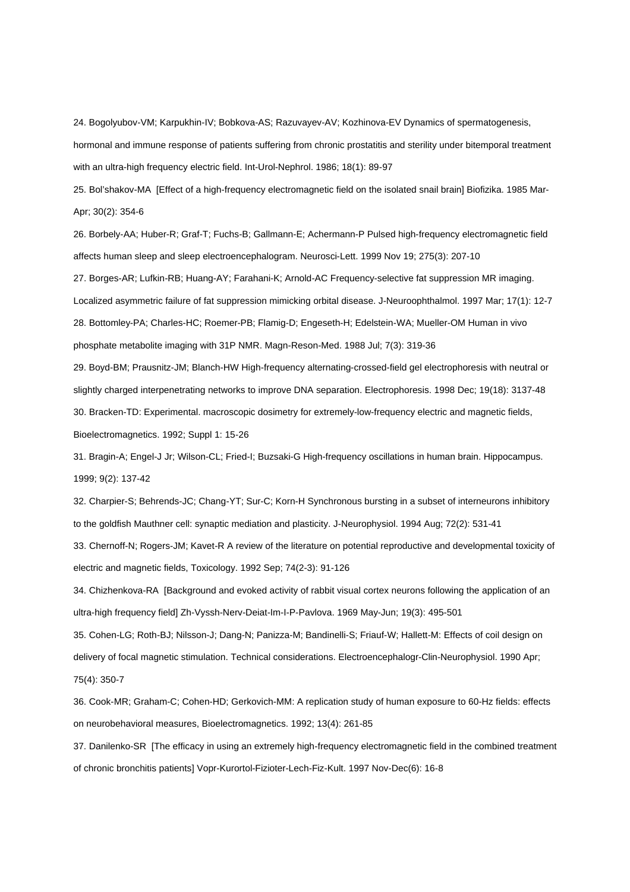24. Bogolyubov-VM; Karpukhin-IV; Bobkova-AS; Razuvayev-AV; Kozhinova-EV Dynamics of spermatogenesis, hormonal and immune response of patients suffering from chronic prostatitis and sterility under bitemporal treatment with an ultra-high frequency electric field. Int-Urol-Nephrol. 1986; 18(1): 89-97

25. Bol'shakov-MA [Effect of a high-frequency electromagnetic field on the isolated snail brain] Biofizika. 1985 Mar-Apr; 30(2): 354-6

26. Borbely-AA; Huber-R; Graf-T; Fuchs-B; Gallmann-E; Achermann-P Pulsed high-frequency electromagnetic field affects human sleep and sleep electroencephalogram. Neurosci-Lett. 1999 Nov 19; 275(3): 207-10

27. Borges-AR; Lufkin-RB; Huang-AY; Farahani-K; Arnold-AC Frequency-selective fat suppression MR imaging. Localized asymmetric failure of fat suppression mimicking orbital disease. J-Neuroophthalmol. 1997 Mar; 17(1): 12-7 28. Bottomley-PA; Charles-HC; Roemer-PB; Flamig-D; Engeseth-H; Edelstein-WA; Mueller-OM Human in vivo phosphate metabolite imaging with 31P NMR. Magn-Reson-Med. 1988 Jul; 7(3): 319-36

29. Boyd-BM; Prausnitz-JM; Blanch-HW High-frequency alternating-crossed-field gel electrophoresis with neutral or slightly charged interpenetrating networks to improve DNA separation. Electrophoresis. 1998 Dec; 19(18): 3137-48 30. Bracken-TD: Experimental. macroscopic dosimetry for extremely-low-frequency electric and magnetic fields, Bioelectromagnetics. 1992; Suppl 1: 15-26

31. Bragin-A; Engel-J Jr; Wilson-CL; Fried-I; Buzsaki-G High-frequency oscillations in human brain. Hippocampus. 1999; 9(2): 137-42

32. Charpier-S; Behrends-JC; Chang-YT; Sur-C; Korn-H Synchronous bursting in a subset of interneurons inhibitory to the goldfish Mauthner cell: synaptic mediation and plasticity. J-Neurophysiol. 1994 Aug; 72(2): 531-41

33. Chernoff-N; Rogers-JM; Kavet-R A review of the literature on potential reproductive and developmental toxicity of electric and magnetic fields, Toxicology. 1992 Sep; 74(2-3): 91-126

34. Chizhenkova-RA [Background and evoked activity of rabbit visual cortex neurons following the application of an ultra-high frequency field] Zh-Vyssh-Nerv-Deiat-Im-I-P-Pavlova. 1969 May-Jun; 19(3): 495-501

35. Cohen-LG; Roth-BJ; Nilsson-J; Dang-N; Panizza-M; Bandinelli-S; Friauf-W; Hallett-M: Effects of coil design on delivery of focal magnetic stimulation. Technical considerations. Electroencephalogr-Clin-Neurophysiol. 1990 Apr; 75(4): 350-7

36. Cook-MR; Graham-C; Cohen-HD; Gerkovich-MM: A replication study of human exposure to 60-Hz fields: effects on neurobehavioral measures, Bioelectromagnetics. 1992; 13(4): 261-85

37. Danilenko-SR [The efficacy in using an extremely high-frequency electromagnetic field in the combined treatment of chronic bronchitis patients] Vopr-Kurortol-Fizioter-Lech-Fiz-Kult. 1997 Nov-Dec(6): 16-8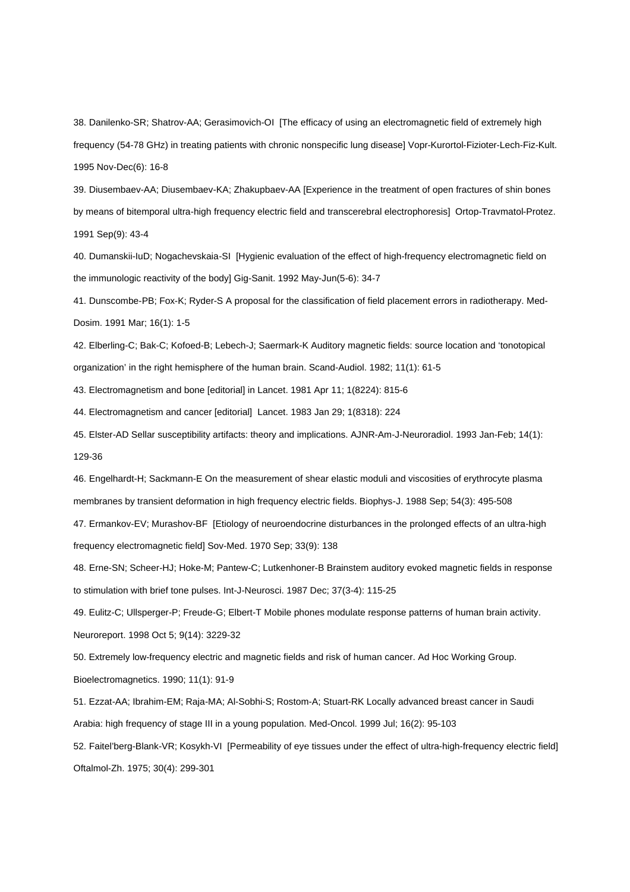38. Danilenko-SR; Shatrov-AA; Gerasimovich-OI [The efficacy of using an electromagnetic field of extremely high frequency (54-78 GHz) in treating patients with chronic nonspecific lung disease] Vopr-Kurortol-Fizioter-Lech-Fiz-Kult. 1995 Nov-Dec(6): 16-8

39. Diusembaev-AA; Diusembaev-KA; Zhakupbaev-AA [Experience in the treatment of open fractures of shin bones by means of bitemporal ultra-high frequency electric field and transcerebral electrophoresis] Ortop-Travmatol-Protez. 1991 Sep(9): 43-4

40. Dumanskii-IuD; Nogachevskaia-SI [Hygienic evaluation of the effect of high-frequency electromagnetic field on the immunologic reactivity of the body] Gig-Sanit. 1992 May-Jun(5-6): 34-7

41. Dunscombe-PB; Fox-K; Ryder-S A proposal for the classification of field placement errors in radiotherapy. Med-Dosim. 1991 Mar; 16(1): 1-5

42. Elberling-C; Bak-C; Kofoed-B; Lebech-J; Saermark-K Auditory magnetic fields: source location and 'tonotopical organization' in the right hemisphere of the human brain. Scand-Audiol. 1982; 11(1): 61-5

43. Electromagnetism and bone [editorial] in Lancet. 1981 Apr 11; 1(8224): 815-6

44. Electromagnetism and cancer [editorial] Lancet. 1983 Jan 29; 1(8318): 224

45. Elster-AD Sellar susceptibility artifacts: theory and implications. AJNR-Am-J-Neuroradiol. 1993 Jan-Feb; 14(1): 129-36

46. Engelhardt-H; Sackmann-E On the measurement of shear elastic moduli and viscosities of erythrocyte plasma membranes by transient deformation in high frequency electric fields. Biophys-J. 1988 Sep; 54(3): 495-508

47. Ermankov-EV; Murashov-BF [Etiology of neuroendocrine disturbances in the prolonged effects of an ultra-high frequency electromagnetic field] Sov-Med. 1970 Sep; 33(9): 138

48. Erne-SN; Scheer-HJ; Hoke-M; Pantew-C; Lutkenhoner-B Brainstem auditory evoked magnetic fields in response to stimulation with brief tone pulses. Int-J-Neurosci. 1987 Dec; 37(3-4): 115-25

49. Eulitz-C; Ullsperger-P; Freude-G; Elbert-T Mobile phones modulate response patterns of human brain activity.

Neuroreport. 1998 Oct 5; 9(14): 3229-32

50. Extremely low-frequency electric and magnetic fields and risk of human cancer. Ad Hoc Working Group.

Bioelectromagnetics. 1990; 11(1): 91-9

51. Ezzat-AA; Ibrahim-EM; Raja-MA; Al-Sobhi-S; Rostom-A; Stuart-RK Locally advanced breast cancer in Saudi Arabia: high frequency of stage III in a young population. Med-Oncol. 1999 Jul; 16(2): 95-103

52. Faitel'berg-Blank-VR; Kosykh-VI [Permeability of eye tissues under the effect of ultra-high-frequency electric field] Oftalmol-Zh. 1975; 30(4): 299-301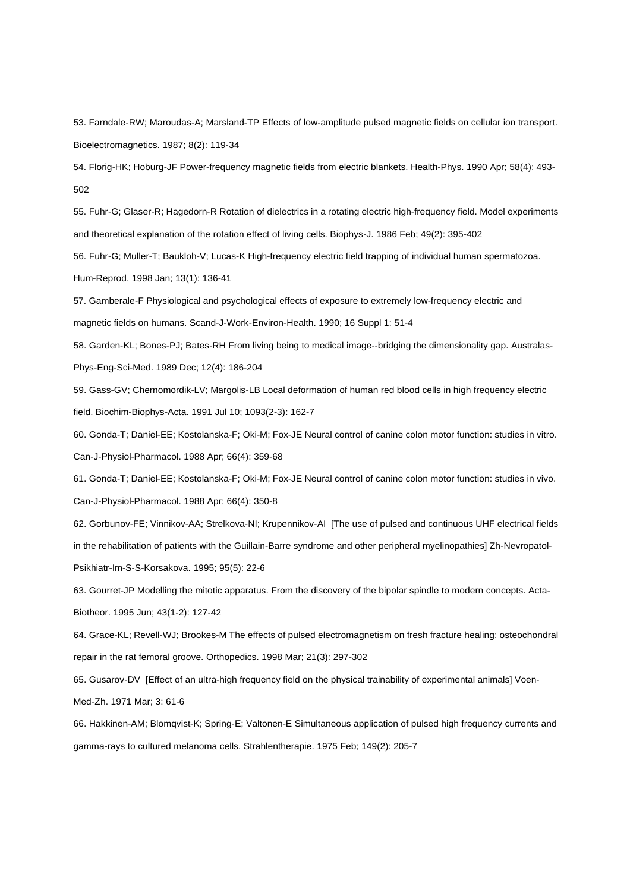53. Farndale-RW; Maroudas-A; Marsland-TP Effects of low-amplitude pulsed magnetic fields on cellular ion transport. Bioelectromagnetics. 1987; 8(2): 119-34

54. Florig-HK; Hoburg-JF Power-frequency magnetic fields from electric blankets. Health-Phys. 1990 Apr; 58(4): 493- 502

55. Fuhr-G; Glaser-R; Hagedorn-R Rotation of dielectrics in a rotating electric high-frequency field. Model experiments and theoretical explanation of the rotation effect of living cells. Biophys-J. 1986 Feb; 49(2): 395-402

56. Fuhr-G; Muller-T; Baukloh-V; Lucas-K High-frequency electric field trapping of individual human spermatozoa. Hum-Reprod. 1998 Jan; 13(1): 136-41

57. Gamberale-F Physiological and psychological effects of exposure to extremely low-frequency electric and magnetic fields on humans. Scand-J-Work-Environ-Health. 1990; 16 Suppl 1: 51-4

58. Garden-KL; Bones-PJ; Bates-RH From living being to medical image--bridging the dimensionality gap. Australas-Phys-Eng-Sci-Med. 1989 Dec; 12(4): 186-204

59. Gass-GV; Chernomordik-LV; Margolis-LB Local deformation of human red blood cells in high frequency electric field. Biochim-Biophys-Acta. 1991 Jul 10; 1093(2-3): 162-7

60. Gonda-T; Daniel-EE; Kostolanska-F; Oki-M; Fox-JE Neural control of canine colon motor function: studies in vitro. Can-J-Physiol-Pharmacol. 1988 Apr; 66(4): 359-68

61. Gonda-T; Daniel-EE; Kostolanska-F; Oki-M; Fox-JE Neural control of canine colon motor function: studies in vivo. Can-J-Physiol-Pharmacol. 1988 Apr; 66(4): 350-8

62. Gorbunov-FE; Vinnikov-AA; Strelkova-NI; Krupennikov-AI [The use of pulsed and continuous UHF electrical fields in the rehabilitation of patients with the Guillain-Barre syndrome and other peripheral myelinopathies] Zh-Nevropatol-Psikhiatr-Im-S-S-Korsakova. 1995; 95(5): 22-6

63. Gourret-JP Modelling the mitotic apparatus. From the discovery of the bipolar spindle to modern concepts. Acta-Biotheor. 1995 Jun; 43(1-2): 127-42

64. Grace-KL; Revell-WJ; Brookes-M The effects of pulsed electromagnetism on fresh fracture healing: osteochondral repair in the rat femoral groove. Orthopedics. 1998 Mar; 21(3): 297-302

65. Gusarov-DV [Effect of an ultra-high frequency field on the physical trainability of experimental animals] Voen-

Med-Zh. 1971 Mar; 3: 61-6

66. Hakkinen-AM; Blomqvist-K; Spring-E; Valtonen-E Simultaneous application of pulsed high frequency currents and gamma-rays to cultured melanoma cells. Strahlentherapie. 1975 Feb; 149(2): 205-7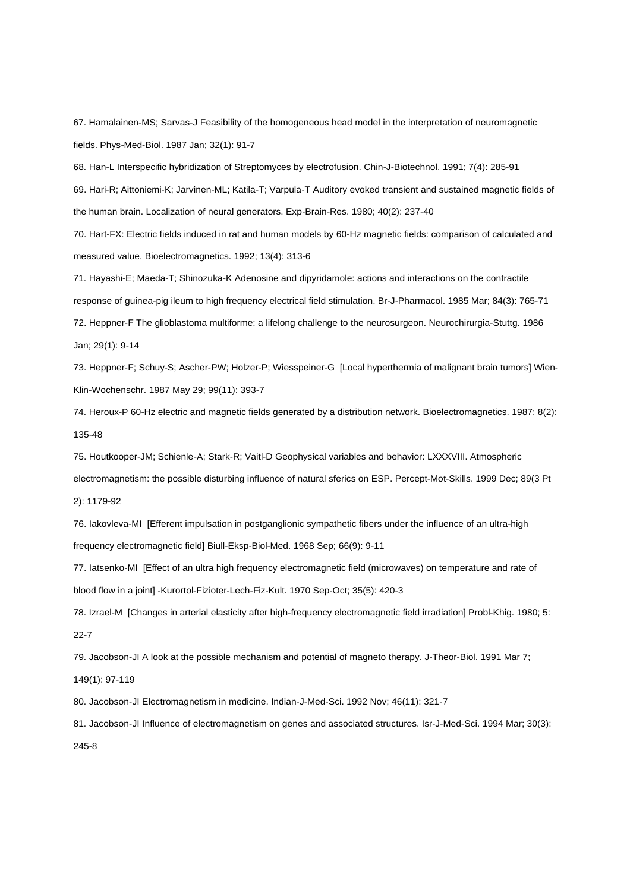67. Hamalainen-MS; Sarvas-J Feasibility of the homogeneous head model in the interpretation of neuromagnetic fields. Phys-Med-Biol. 1987 Jan; 32(1): 91-7

68. Han-L Interspecific hybridization of Streptomyces by electrofusion. Chin-J-Biotechnol. 1991; 7(4): 285-91 69. Hari-R; Aittoniemi-K; Jarvinen-ML; Katila-T; Varpula-T Auditory evoked transient and sustained magnetic fields of the human brain. Localization of neural generators. Exp-Brain-Res. 1980; 40(2): 237-40

70. Hart-FX: Electric fields induced in rat and human models by 60-Hz magnetic fields: comparison of calculated and measured value, Bioelectromagnetics. 1992; 13(4): 313-6

71. Hayashi-E; Maeda-T; Shinozuka-K Adenosine and dipyridamole: actions and interactions on the contractile response of guinea-pig ileum to high frequency electrical field stimulation. Br-J-Pharmacol. 1985 Mar; 84(3): 765-71 72. Heppner-F The glioblastoma multiforme: a lifelong challenge to the neurosurgeon. Neurochirurgia-Stuttg. 1986 Jan; 29(1): 9-14

73. Heppner-F; Schuy-S; Ascher-PW; Holzer-P; Wiesspeiner-G [Local hyperthermia of malignant brain tumors] Wien-Klin-Wochenschr. 1987 May 29; 99(11): 393-7

74. Heroux-P 60-Hz electric and magnetic fields generated by a distribution network. Bioelectromagnetics. 1987; 8(2): 135-48

75. Houtkooper-JM; Schienle-A; Stark-R; Vaitl-D Geophysical variables and behavior: LXXXVIII. Atmospheric electromagnetism: the possible disturbing influence of natural sferics on ESP. Percept-Mot-Skills. 1999 Dec; 89(3 Pt

2): 1179-92

76. Iakovleva-MI [Efferent impulsation in postganglionic sympathetic fibers under the influence of an ultra-high frequency electromagnetic field] Biull-Eksp-Biol-Med. 1968 Sep; 66(9): 9-11

77. Iatsenko-MI [Effect of an ultra high frequency electromagnetic field (microwaves) on temperature and rate of blood flow in a joint] -Kurortol-Fizioter-Lech-Fiz-Kult. 1970 Sep-Oct; 35(5): 420-3

78. Izrael-M [Changes in arterial elasticity after high-frequency electromagnetic field irradiation] Probl-Khig. 1980; 5: 22-7

79. Jacobson-JI A look at the possible mechanism and potential of magneto therapy. J-Theor-Biol. 1991 Mar 7;

149(1): 97-119

80. Jacobson-JI Electromagnetism in medicine. Indian-J-Med-Sci. 1992 Nov; 46(11): 321-7

81. Jacobson-JI Influence of electromagnetism on genes and associated structures. Isr-J-Med-Sci. 1994 Mar; 30(3):

245-8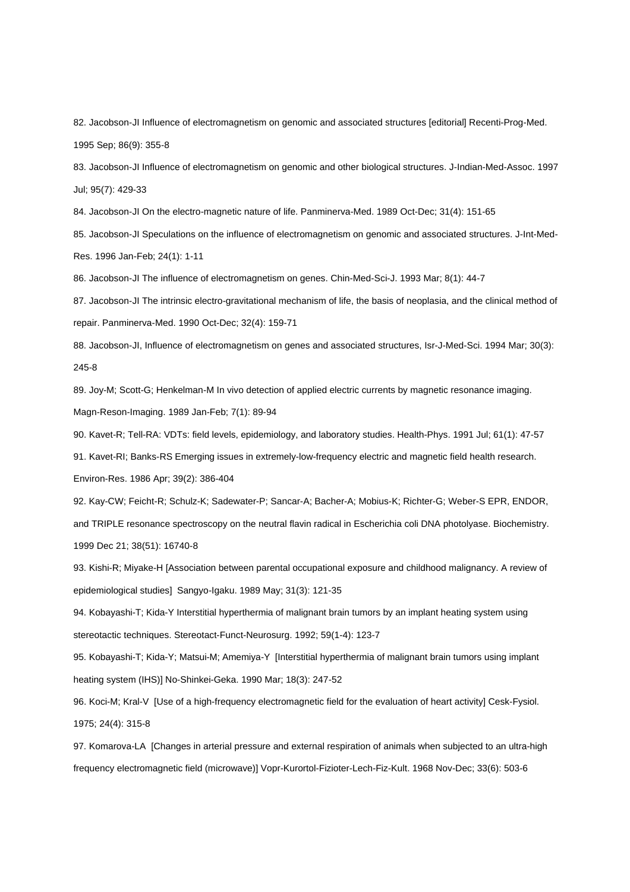82. Jacobson-JI Influence of electromagnetism on genomic and associated structures [editorial] Recenti-Prog-Med. 1995 Sep; 86(9): 355-8

83. Jacobson-JI Influence of electromagnetism on genomic and other biological structures. J-Indian-Med-Assoc. 1997 Jul; 95(7): 429-33

84. Jacobson-JI On the electro-magnetic nature of life. Panminerva-Med. 1989 Oct-Dec; 31(4): 151-65

85. Jacobson-JI Speculations on the influence of electromagnetism on genomic and associated structures. J-Int-Med-Res. 1996 Jan-Feb; 24(1): 1-11

86. Jacobson-JI The influence of electromagnetism on genes. Chin-Med-Sci-J. 1993 Mar; 8(1): 44-7

87. Jacobson-JI The intrinsic electro-gravitational mechanism of life, the basis of neoplasia, and the clinical method of repair. Panminerva-Med. 1990 Oct-Dec; 32(4): 159-71

88. Jacobson-JI, Influence of electromagnetism on genes and associated structures, Isr-J-Med-Sci. 1994 Mar; 30(3): 245-8

89. Joy-M; Scott-G; Henkelman-M In vivo detection of applied electric currents by magnetic resonance imaging. Magn-Reson-Imaging. 1989 Jan-Feb; 7(1): 89-94

90. Kavet-R; Tell-RA: VDTs: field levels, epidemiology, and laboratory studies. Health-Phys. 1991 Jul; 61(1): 47-57

91. Kavet-RI; Banks-RS Emerging issues in extremely-low-frequency electric and magnetic field health research.

Environ-Res. 1986 Apr; 39(2): 386-404

92. Kay-CW; Feicht-R; Schulz-K; Sadewater-P; Sancar-A; Bacher-A; Mobius-K; Richter-G; Weber-S EPR, ENDOR, and TRIPLE resonance spectroscopy on the neutral flavin radical in Escherichia coli DNA photolyase. Biochemistry. 1999 Dec 21; 38(51): 16740-8

93. Kishi-R; Miyake-H [Association between parental occupational exposure and childhood malignancy. A review of epidemiological studies] Sangyo-Igaku. 1989 May; 31(3): 121-35

94. Kobayashi-T; Kida-Y Interstitial hyperthermia of malignant brain tumors by an implant heating system using stereotactic techniques. Stereotact-Funct-Neurosurg. 1992; 59(1-4): 123-7

95. Kobayashi-T; Kida-Y; Matsui-M; Amemiya-Y [Interstitial hyperthermia of malignant brain tumors using implant heating system (IHS)] No-Shinkei-Geka. 1990 Mar; 18(3): 247-52

96. Koci-M; Kral-V [Use of a high-frequency electromagnetic field for the evaluation of heart activity] Cesk-Fysiol. 1975; 24(4): 315-8

97. Komarova-LA [Changes in arterial pressure and external respiration of animals when subjected to an ultra-high frequency electromagnetic field (microwave)] Vopr-Kurortol-Fizioter-Lech-Fiz-Kult. 1968 Nov-Dec; 33(6): 503-6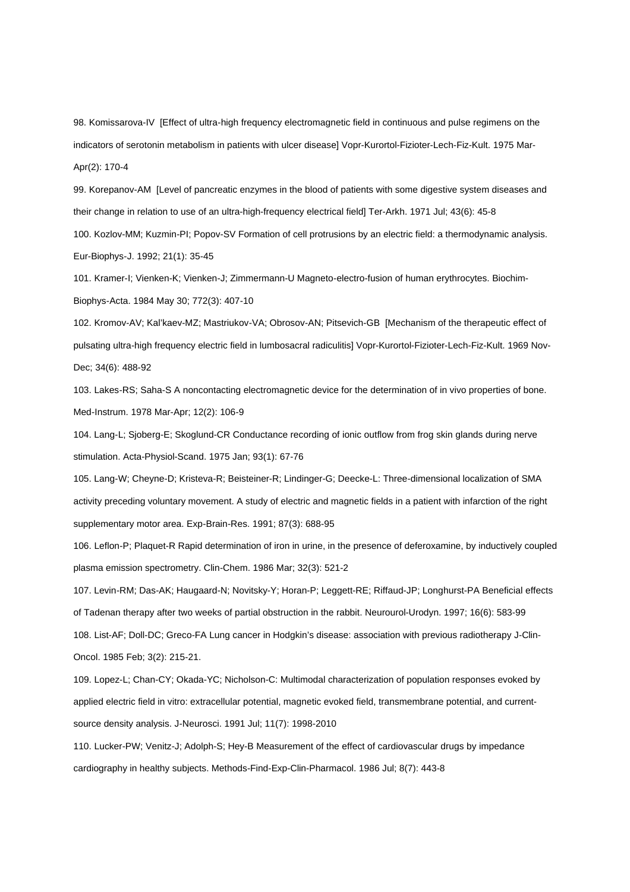98. Komissarova-IV [Effect of ultra-high frequency electromagnetic field in continuous and pulse regimens on the indicators of serotonin metabolism in patients with ulcer disease] Vopr-Kurortol-Fizioter-Lech-Fiz-Kult. 1975 Mar-Apr(2): 170-4

99. Korepanov-AM [Level of pancreatic enzymes in the blood of patients with some digestive system diseases and their change in relation to use of an ultra-high-frequency electrical field] Ter-Arkh. 1971 Jul; 43(6): 45-8 100. Kozlov-MM; Kuzmin-PI; Popov-SV Formation of cell protrusions by an electric field: a thermodynamic analysis.

Eur-Biophys-J. 1992; 21(1): 35-45

101. Kramer-I; Vienken-K; Vienken-J; Zimmermann-U Magneto-electro-fusion of human erythrocytes. Biochim-Biophys-Acta. 1984 May 30; 772(3): 407-10

102. Kromov-AV; Kal'kaev-MZ; Mastriukov-VA; Obrosov-AN; Pitsevich-GB [Mechanism of the therapeutic effect of pulsating ultra-high frequency electric field in lumbosacral radiculitis] Vopr-Kurortol-Fizioter-Lech-Fiz-Kult. 1969 Nov-Dec; 34(6): 488-92

103. Lakes-RS; Saha-S A noncontacting electromagnetic device for the determination of in vivo properties of bone. Med-Instrum. 1978 Mar-Apr; 12(2): 106-9

104. Lang-L; Sjoberg-E; Skoglund-CR Conductance recording of ionic outflow from frog skin glands during nerve stimulation. Acta-Physiol-Scand. 1975 Jan; 93(1): 67-76

105. Lang-W; Cheyne-D; Kristeva-R; Beisteiner-R; Lindinger-G; Deecke-L: Three-dimensional localization of SMA activity preceding voluntary movement. A study of electric and magnetic fields in a patient with infarction of the right supplementary motor area. Exp-Brain-Res. 1991; 87(3): 688-95

106. Leflon-P; Plaquet-R Rapid determination of iron in urine, in the presence of deferoxamine, by inductively coupled plasma emission spectrometry. Clin-Chem. 1986 Mar; 32(3): 521-2

107. Levin-RM; Das-AK; Haugaard-N; Novitsky-Y; Horan-P; Leggett-RE; Riffaud-JP; Longhurst-PA Beneficial effects of Tadenan therapy after two weeks of partial obstruction in the rabbit. Neurourol-Urodyn. 1997; 16(6): 583-99 108. List-AF; Doll-DC; Greco-FA Lung cancer in Hodgkin's disease: association with previous radiotherapy J-Clin-Oncol. 1985 Feb; 3(2): 215-21.

109. Lopez-L; Chan-CY; Okada-YC; Nicholson-C: Multimodal characterization of population responses evoked by applied electric field in vitro: extracellular potential, magnetic evoked field, transmembrane potential, and currentsource density analysis. J-Neurosci. 1991 Jul; 11(7): 1998-2010

110. Lucker-PW; Venitz-J; Adolph-S; Hey-B Measurement of the effect of cardiovascular drugs by impedance cardiography in healthy subjects. Methods-Find-Exp-Clin-Pharmacol. 1986 Jul; 8(7): 443-8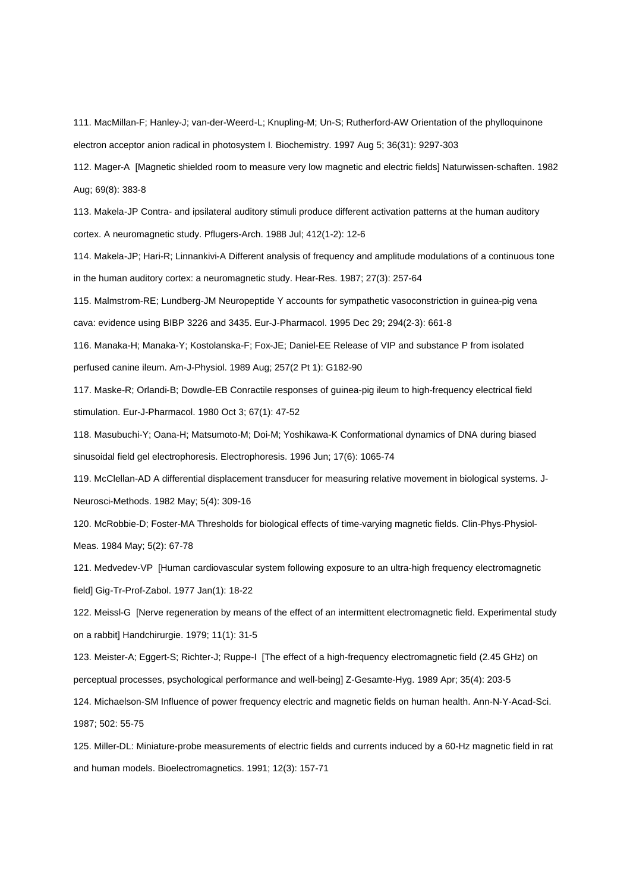111. MacMillan-F; Hanley-J; van-der-Weerd-L; Knupling-M; Un-S; Rutherford-AW Orientation of the phylloquinone electron acceptor anion radical in photosystem I. Biochemistry. 1997 Aug 5; 36(31): 9297-303

112. Mager-A [Magnetic shielded room to measure very low magnetic and electric fields] Naturwissen-schaften. 1982 Aug; 69(8): 383-8

113. Makela-JP Contra- and ipsilateral auditory stimuli produce different activation patterns at the human auditory cortex. A neuromagnetic study. Pflugers-Arch. 1988 Jul; 412(1-2): 12-6

114. Makela-JP; Hari-R; Linnankivi-A Different analysis of frequency and amplitude modulations of a continuous tone in the human auditory cortex: a neuromagnetic study. Hear-Res. 1987; 27(3): 257-64

115. Malmstrom-RE; Lundberg-JM Neuropeptide Y accounts for sympathetic vasoconstriction in guinea-pig vena cava: evidence using BIBP 3226 and 3435. Eur-J-Pharmacol. 1995 Dec 29; 294(2-3): 661-8

116. Manaka-H; Manaka-Y; Kostolanska-F; Fox-JE; Daniel-EE Release of VIP and substance P from isolated perfused canine ileum. Am-J-Physiol. 1989 Aug; 257(2 Pt 1): G182-90

117. Maske-R; Orlandi-B; Dowdle-EB Conractile responses of guinea-pig ileum to high-frequency electrical field stimulation. Eur-J-Pharmacol. 1980 Oct 3; 67(1): 47-52

118. Masubuchi-Y; Oana-H; Matsumoto-M; Doi-M; Yoshikawa-K Conformational dynamics of DNA during biased sinusoidal field gel electrophoresis. Electrophoresis. 1996 Jun; 17(6): 1065-74

119. McClellan-AD A differential displacement transducer for measuring relative movement in biological systems. J-Neurosci-Methods. 1982 May; 5(4): 309-16

120. McRobbie-D; Foster-MA Thresholds for biological effects of time-varying magnetic fields. Clin-Phys-Physiol-Meas. 1984 May; 5(2): 67-78

121. Medvedev-VP [Human cardiovascular system following exposure to an ultra-high frequency electromagnetic field] Gig-Tr-Prof-Zabol. 1977 Jan(1): 18-22

122. Meissl-G [Nerve regeneration by means of the effect of an intermittent electromagnetic field. Experimental study on a rabbit] Handchirurgie. 1979; 11(1): 31-5

123. Meister-A; Eggert-S; Richter-J; Ruppe-I [The effect of a high-frequency electromagnetic field (2.45 GHz) on perceptual processes, psychological performance and well-being] Z-Gesamte-Hyg. 1989 Apr; 35(4): 203-5

124. Michaelson-SM Influence of power frequency electric and magnetic fields on human health. Ann-N-Y-Acad-Sci. 1987; 502: 55-75

125. Miller-DL: Miniature-probe measurements of electric fields and currents induced by a 60-Hz magnetic field in rat and human models. Bioelectromagnetics. 1991; 12(3): 157-71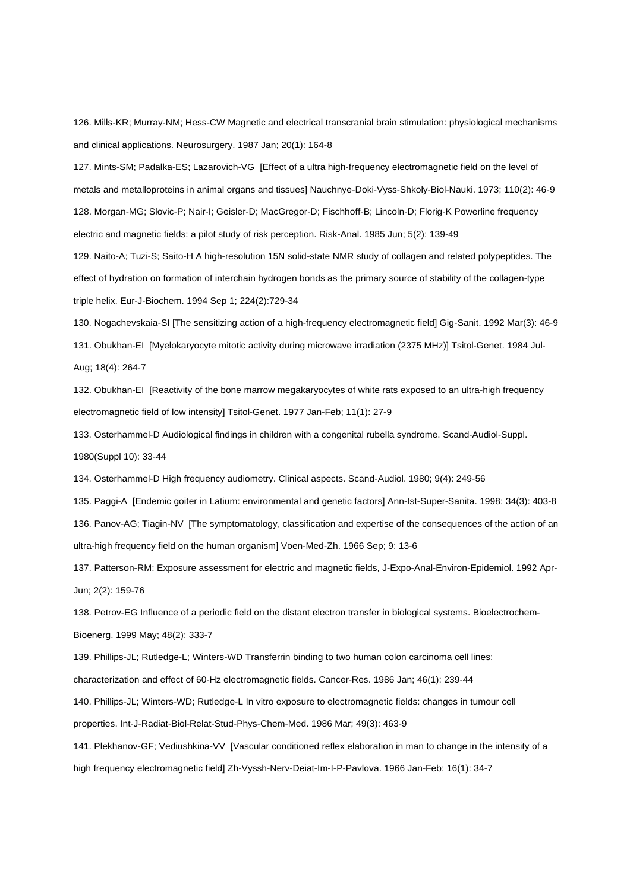126. Mills-KR; Murray-NM; Hess-CW Magnetic and electrical transcranial brain stimulation: physiological mechanisms and clinical applications. Neurosurgery. 1987 Jan; 20(1): 164-8

127. Mints-SM; Padalka-ES; Lazarovich-VG [Effect of a ultra high-frequency electromagnetic field on the level of metals and metalloproteins in animal organs and tissues] Nauchnye-Doki-Vyss-Shkoly-Biol-Nauki. 1973; 110(2): 46-9 128. Morgan-MG; Slovic-P; Nair-I; Geisler-D; MacGregor-D; Fischhoff-B; Lincoln-D; Florig-K Powerline frequency electric and magnetic fields: a pilot study of risk perception. Risk-Anal. 1985 Jun; 5(2): 139-49

129. Naito-A; Tuzi-S; Saito-H A high-resolution 15N solid-state NMR study of collagen and related polypeptides. The effect of hydration on formation of interchain hydrogen bonds as the primary source of stability of the collagen-type triple helix. Eur-J-Biochem. 1994 Sep 1; 224(2):729-34

130. Nogachevskaia-SI [The sensitizing action of a high-frequency electromagnetic field] Gig-Sanit. 1992 Mar(3): 46-9

131. Obukhan-EI [Myelokaryocyte mitotic activity during microwave irradiation (2375 MHz)] Tsitol-Genet. 1984 Jul-Aug; 18(4): 264-7

132. Obukhan-EI [Reactivity of the bone marrow megakaryocytes of white rats exposed to an ultra-high frequency electromagnetic field of low intensity] Tsitol-Genet. 1977 Jan-Feb; 11(1): 27-9

133. Osterhammel-D Audiological findings in children with a congenital rubella syndrome. Scand-Audiol-Suppl. 1980(Suppl 10): 33-44

134. Osterhammel-D High frequency audiometry. Clinical aspects. Scand-Audiol. 1980; 9(4): 249-56

135. Paggi-A [Endemic goiter in Latium: environmental and genetic factors] Ann-Ist-Super-Sanita. 1998; 34(3): 403-8 136. Panov-AG; Tiagin-NV [The symptomatology, classification and expertise of the consequences of the action of an ultra-high frequency field on the human organism] Voen-Med-Zh. 1966 Sep; 9: 13-6

137. Patterson-RM: Exposure assessment for electric and magnetic fields, J-Expo-Anal-Environ-Epidemiol. 1992 Apr-Jun; 2(2): 159-76

138. Petrov-EG Influence of a periodic field on the distant electron transfer in biological systems. Bioelectrochem-Bioenerg. 1999 May; 48(2): 333-7

139. Phillips-JL; Rutledge-L; Winters-WD Transferrin binding to two human colon carcinoma cell lines:

characterization and effect of 60-Hz electromagnetic fields. Cancer-Res. 1986 Jan; 46(1): 239-44

140. Phillips-JL; Winters-WD; Rutledge-L In vitro exposure to electromagnetic fields: changes in tumour cell

properties. Int-J-Radiat-Biol-Relat-Stud-Phys-Chem-Med. 1986 Mar; 49(3): 463-9

141. Plekhanov-GF; Vediushkina-VV [Vascular conditioned reflex elaboration in man to change in the intensity of a high frequency electromagnetic field] Zh-Vyssh-Nerv-Deiat-Im-I-P-Pavlova. 1966 Jan-Feb; 16(1): 34-7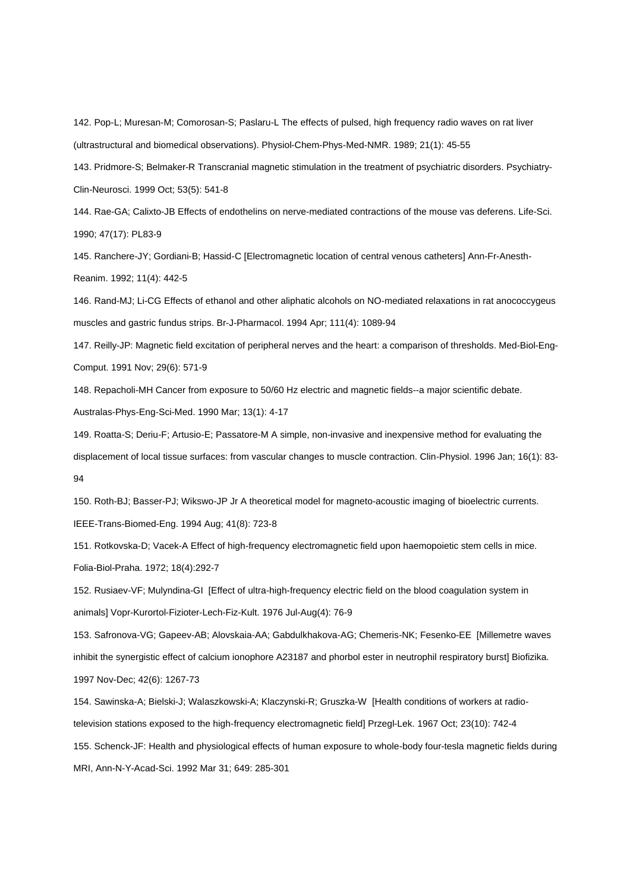142. Pop-L; Muresan-M; Comorosan-S; Paslaru-L The effects of pulsed, high frequency radio waves on rat liver (ultrastructural and biomedical observations). Physiol-Chem-Phys-Med-NMR. 1989; 21(1): 45-55

143. Pridmore-S; Belmaker-R Transcranial magnetic stimulation in the treatment of psychiatric disorders. Psychiatry-Clin-Neurosci. 1999 Oct; 53(5): 541-8

144. Rae-GA; Calixto-JB Effects of endothelins on nerve-mediated contractions of the mouse vas deferens. Life-Sci. 1990; 47(17): PL83-9

145. Ranchere-JY; Gordiani-B; Hassid-C [Electromagnetic location of central venous catheters] Ann-Fr-Anesth-Reanim. 1992; 11(4): 442-5

146. Rand-MJ; Li-CG Effects of ethanol and other aliphatic alcohols on NO-mediated relaxations in rat anococcygeus muscles and gastric fundus strips. Br-J-Pharmacol. 1994 Apr; 111(4): 1089-94

147. Reilly-JP: Magnetic field excitation of peripheral nerves and the heart: a comparison of thresholds. Med-Biol-Eng-Comput. 1991 Nov; 29(6): 571-9

148. Repacholi-MH Cancer from exposure to 50/60 Hz electric and magnetic fields--a major scientific debate.

Australas-Phys-Eng-Sci-Med. 1990 Mar; 13(1): 4-17

149. Roatta-S; Deriu-F; Artusio-E; Passatore-M A simple, non-invasive and inexpensive method for evaluating the displacement of local tissue surfaces: from vascular changes to muscle contraction. Clin-Physiol. 1996 Jan; 16(1): 83- 94

150. Roth-BJ; Basser-PJ; Wikswo-JP Jr A theoretical model for magneto-acoustic imaging of bioelectric currents. IEEE-Trans-Biomed-Eng. 1994 Aug; 41(8): 723-8

151. Rotkovska-D; Vacek-A Effect of high-frequency electromagnetic field upon haemopoietic stem cells in mice. Folia-Biol-Praha. 1972; 18(4):292-7

152. Rusiaev-VF; Mulyndina-GI [Effect of ultra-high-frequency electric field on the blood coagulation system in animals] Vopr-Kurortol-Fizioter-Lech-Fiz-Kult. 1976 Jul-Aug(4): 76-9

153. Safronova-VG; Gapeev-AB; Alovskaia-AA; Gabdulkhakova-AG; Chemeris-NK; Fesenko-EE [Millemetre waves inhibit the synergistic effect of calcium ionophore A23187 and phorbol ester in neutrophil respiratory burst] Biofizika. 1997 Nov-Dec; 42(6): 1267-73

154. Sawinska-A; Bielski-J; Walaszkowski-A; Klaczynski-R; Gruszka-W [Health conditions of workers at radiotelevision stations exposed to the high-frequency electromagnetic field] Przegl-Lek. 1967 Oct; 23(10): 742-4 155. Schenck-JF: Health and physiological effects of human exposure to whole-body four-tesla magnetic fields during MRI, Ann-N-Y-Acad-Sci. 1992 Mar 31; 649: 285-301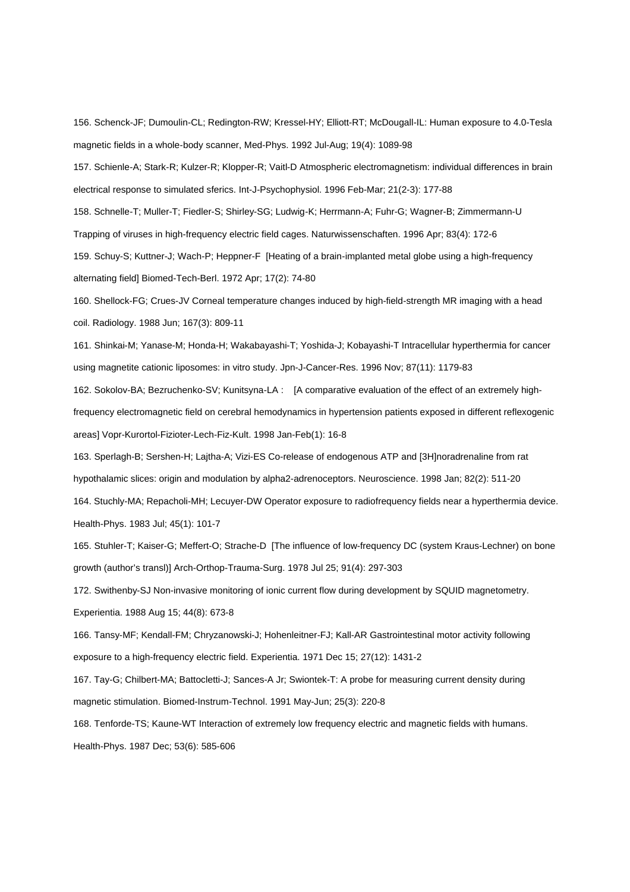156. Schenck-JF; Dumoulin-CL; Redington-RW; Kressel-HY; Elliott-RT; McDougall-IL: Human exposure to 4.0-Tesla magnetic fields in a whole-body scanner, Med-Phys. 1992 Jul-Aug; 19(4): 1089-98

157. Schienle-A; Stark-R; Kulzer-R; Klopper-R; Vaitl-D Atmospheric electromagnetism: individual differences in brain electrical response to simulated sferics. Int-J-Psychophysiol. 1996 Feb-Mar; 21(2-3): 177-88

158. Schnelle-T; Muller-T; Fiedler-S; Shirley-SG; Ludwig-K; Herrmann-A; Fuhr-G; Wagner-B; Zimmermann-U

Trapping of viruses in high-frequency electric field cages. Naturwissenschaften. 1996 Apr; 83(4): 172-6

159. Schuy-S; Kuttner-J; Wach-P; Heppner-F [Heating of a brain-implanted metal globe using a high-frequency alternating field] Biomed-Tech-Berl. 1972 Apr; 17(2): 74-80

160. Shellock-FG; Crues-JV Corneal temperature changes induced by high-field-strength MR imaging with a head coil. Radiology. 1988 Jun; 167(3): 809-11

161. Shinkai-M; Yanase-M; Honda-H; Wakabayashi-T; Yoshida-J; Kobayashi-T Intracellular hyperthermia for cancer using magnetite cationic liposomes: in vitro study. Jpn-J-Cancer-Res. 1996 Nov; 87(11): 1179-83

162. Sokolov-BA; Bezruchenko-SV; Kunitsyna-LA : [A comparative evaluation of the effect of an extremely highfrequency electromagnetic field on cerebral hemodynamics in hypertension patients exposed in different reflexogenic areas] Vopr-Kurortol-Fizioter-Lech-Fiz-Kult. 1998 Jan-Feb(1): 16-8

163. Sperlagh-B; Sershen-H; Lajtha-A; Vizi-ES Co-release of endogenous ATP and [3H]noradrenaline from rat hypothalamic slices: origin and modulation by alpha2-adrenoceptors. Neuroscience. 1998 Jan; 82(2): 511-20 164. Stuchly-MA; Repacholi-MH; Lecuyer-DW Operator exposure to radiofrequency fields near a hyperthermia device. Health-Phys. 1983 Jul; 45(1): 101-7

165. Stuhler-T; Kaiser-G; Meffert-O; Strache-D [The influence of low-frequency DC (system Kraus-Lechner) on bone growth (author's transl)] Arch-Orthop-Trauma-Surg. 1978 Jul 25; 91(4): 297-303

172. Swithenby-SJ Non-invasive monitoring of ionic current flow during development by SQUID magnetometry. Experientia. 1988 Aug 15; 44(8): 673-8

166. Tansy-MF; Kendall-FM; Chryzanowski-J; Hohenleitner-FJ; Kall-AR Gastrointestinal motor activity following exposure to a high-frequency electric field. Experientia. 1971 Dec 15; 27(12): 1431-2

167. Tay-G; Chilbert-MA; Battocletti-J; Sances-A Jr; Swiontek-T: A probe for measuring current density during magnetic stimulation. Biomed-Instrum-Technol. 1991 May-Jun; 25(3): 220-8

168. Tenforde-TS; Kaune-WT Interaction of extremely low frequency electric and magnetic fields with humans. Health-Phys. 1987 Dec; 53(6): 585-606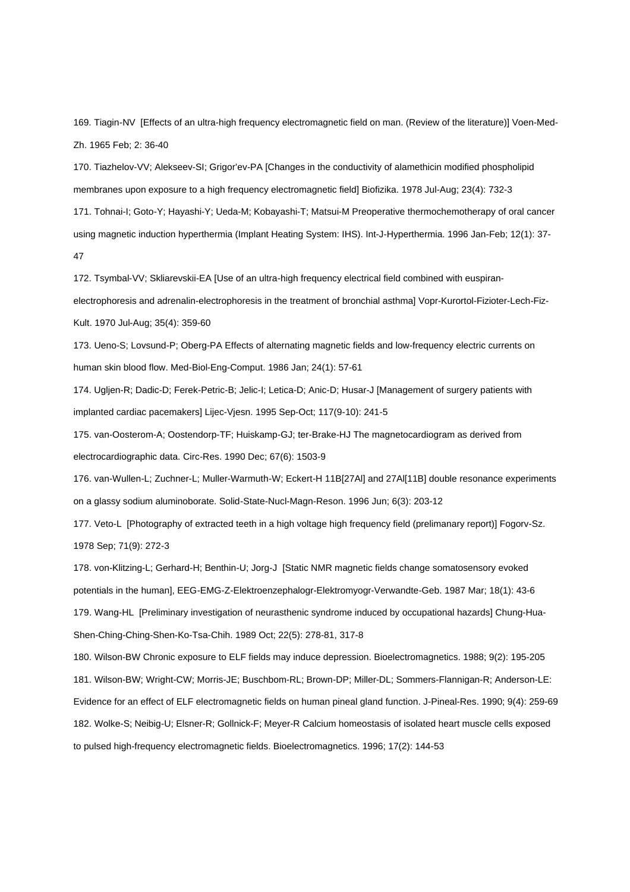169. Tiagin-NV [Effects of an ultra-high frequency electromagnetic field on man. (Review of the literature)] Voen-Med-Zh. 1965 Feb; 2: 36-40

170. Tiazhelov-VV; Alekseev-SI; Grigor'ev-PA [Changes in the conductivity of alamethicin modified phospholipid membranes upon exposure to a high frequency electromagnetic field] Biofizika. 1978 Jul-Aug; 23(4): 732-3 171. Tohnai-I; Goto-Y; Hayashi-Y; Ueda-M; Kobayashi-T; Matsui-M Preoperative thermochemotherapy of oral cancer using magnetic induction hyperthermia (Implant Heating System: IHS). Int-J-Hyperthermia. 1996 Jan-Feb; 12(1): 37- 47

172. Tsymbal-VV; Skliarevskii-EA [Use of an ultra-high frequency electrical field combined with euspiranelectrophoresis and adrenalin-electrophoresis in the treatment of bronchial asthma] Vopr-Kurortol-Fizioter-Lech-Fiz-Kult. 1970 Jul-Aug; 35(4): 359-60

173. Ueno-S; Lovsund-P; Oberg-PA Effects of alternating magnetic fields and low-frequency electric currents on human skin blood flow. Med-Biol-Eng-Comput. 1986 Jan; 24(1): 57-61

174. Ugljen-R; Dadic-D; Ferek-Petric-B; Jelic-I; Letica-D; Anic-D; Husar-J [Management of surgery patients with implanted cardiac pacemakers] Lijec-Vjesn. 1995 Sep-Oct; 117(9-10): 241-5

175. van-Oosterom-A; Oostendorp-TF; Huiskamp-GJ; ter-Brake-HJ The magnetocardiogram as derived from electrocardiographic data. Circ-Res. 1990 Dec; 67(6): 1503-9

176. van-Wullen-L; Zuchner-L; Muller-Warmuth-W; Eckert-H 11B[27Al] and 27Al[11B] double resonance experiments on a glassy sodium aluminoborate. Solid-State-Nucl-Magn-Reson. 1996 Jun; 6(3): 203-12

177. Veto-L [Photography of extracted teeth in a high voltage high frequency field (prelimanary report)] Fogorv-Sz. 1978 Sep; 71(9): 272-3

178. von-Klitzing-L; Gerhard-H; Benthin-U; Jorg-J [Static NMR magnetic fields change somatosensory evoked potentials in the human], EEG-EMG-Z-Elektroenzephalogr-Elektromyogr-Verwandte-Geb. 1987 Mar; 18(1): 43-6 179. Wang-HL [Preliminary investigation of neurasthenic syndrome induced by occupational hazards] Chung-Hua-Shen-Ching-Ching-Shen-Ko-Tsa-Chih. 1989 Oct; 22(5): 278-81, 317-8

180. Wilson-BW Chronic exposure to ELF fields may induce depression. Bioelectromagnetics. 1988; 9(2): 195-205 181. Wilson-BW; Wright-CW; Morris-JE; Buschbom-RL; Brown-DP; Miller-DL; Sommers-Flannigan-R; Anderson-LE: Evidence for an effect of ELF electromagnetic fields on human pineal gland function. J-Pineal-Res. 1990; 9(4): 259-69 182. Wolke-S; Neibig-U; Elsner-R; Gollnick-F; Meyer-R Calcium homeostasis of isolated heart muscle cells exposed to pulsed high-frequency electromagnetic fields. Bioelectromagnetics. 1996; 17(2): 144-53